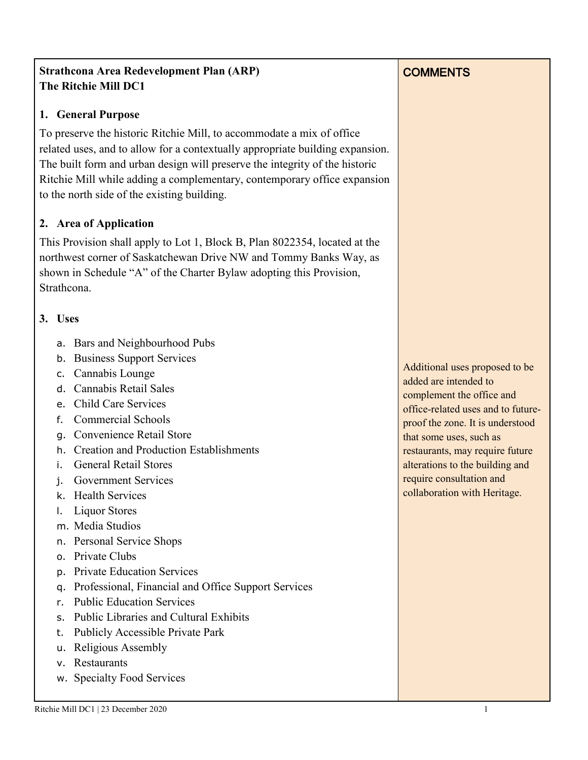### **Strathcona Area Redevelopment Plan (ARP) The Ritchie Mill DC1**

#### **1. General Purpose**

To preserve the historic Ritchie Mill, to accommodate a mix of office related uses, and to allow for a contextually appropriate building expansion. The built form and urban design will preserve the integrity of the historic Ritchie Mill while adding a complementary, contemporary office expansion to the north side of the existing building.

#### **2. Area of Application**

This Provision shall apply to Lot 1, Block B, Plan 8022354, located at the northwest corner of Saskatchewan Drive NW and Tommy Banks Way, as shown in Schedule "A" of the Charter Bylaw adopting this Provision, Strathcona.

#### **3. Uses**

- a. Bars and Neighbourhood Pubs
- b. Business Support Services
- c. Cannabis Lounge
- d. Cannabis Retail Sales
- e. Child Care Services
- f. Commercial Schools
- g. Convenience Retail Store
- h. Creation and Production Establishments
- i. General Retail Stores
- j. Government Services
- k. Health Services
- l. Liquor Stores
- m. Media Studios
- n. Personal Service Shops
- o. Private Clubs
- p. Private Education Services
- q. Professional, Financial and Office Support Services
- r. Public Education Services
- s. Public Libraries and Cultural Exhibits
- t. Publicly Accessible Private Park
- u. Religious Assembly
- v. Restaurants
- w. Specialty Food Services

Additional uses proposed to be added are intended to complement the office and office-related uses and to futureproof the zone. It is understood that some uses, such as restaurants, may require future alterations to the building and require consultation and collaboration with Heritage.

#### Ritchie Mill DC1 | 23 December 2020

### **COMMENTS**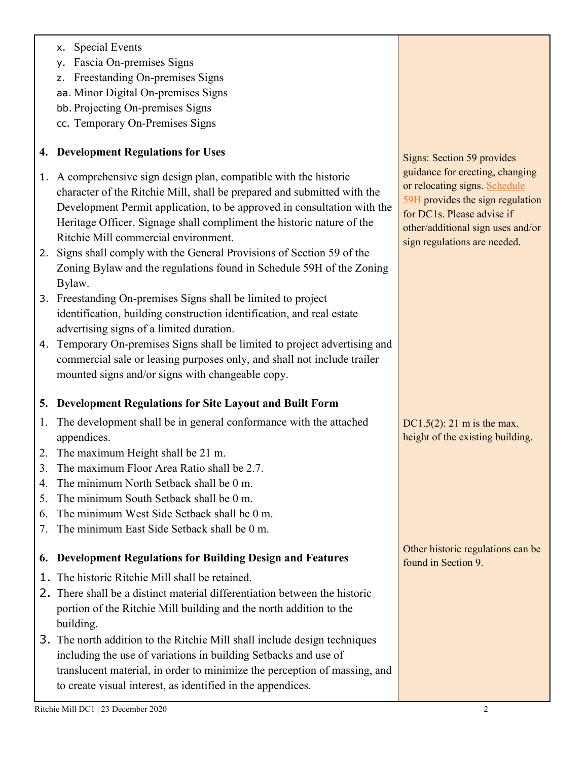### x. Special Events

- y. Fascia On-premises Signs
- z. Freestanding On-premises Signs
- aa. Minor Digital On-premises Signs
- bb. Projecting On-premises Signs
- cc. Temporary On-Premises Signs

## **4. Development Regulations for Uses**

- 1. A comprehensive sign design plan, compatible with the historic character of the Ritchie Mill, shall be prepared and submitted with the Development Permit application, to be approved in consultation with the Heritage Officer. Signage shall compliment the historic nature of the Ritchie Mill commercial environment.
- 2. Signs shall comply with the General Provisions of Section 59 of the Zoning Bylaw and the regulations found in Schedule 59H of the Zoning Bylaw.
- 3. Freestanding On-premises Signs shall be limited to project identification, building construction identification, and real estate advertising signs of a limited duration.
- 4. Temporary On-premises Signs shall be limited to project advertising and commercial sale or leasing purposes only, and shall not include trailer mounted signs and/or signs with changeable copy.

### **5. Development Regulations for Site Layout and Built Form**

- 1. The development shall be in general conformance with the attached appendices.
- 2. The maximum Height shall be 21 m.
- 3. The maximum Floor Area Ratio shall be 2.7.
- 4. The minimum North Setback shall be 0 m.
- 5. The minimum South Setback shall be 0 m.
- 6. The minimum West Side Setback shall be 0 m.
- 7. The minimum East Side Setback shall be 0 m.

# **6. Development Regulations for Building Design and Features**

- 1. The historic Ritchie Mill shall be retained.
- 2. There shall be a distinct material differentiation between the historic portion of the Ritchie Mill building and the north addition to the building.
- 3. The north addition to the Ritchie Mill shall include design techniques including the use of variations in building Setbacks and use of translucent material, in order to minimize the perception of massing, and to create visual interest, as identified in the appendices.

Signs: Section 59 provides guidance for erecting, changing or relocating signs. [Schedule](https://webdocs.edmonton.ca/zoningbylaw/ZoningBylaw/Schedule/Schedule_59H.htm)  [59H](https://webdocs.edmonton.ca/zoningbylaw/ZoningBylaw/Schedule/Schedule_59H.htm) provides the sign regulation for DC1s. Please advise if other/additional sign uses and/or sign regulations are needed.

DC1.5(2): 21 m is the max. height of the existing building.

Other historic regulations can be found in Section 9.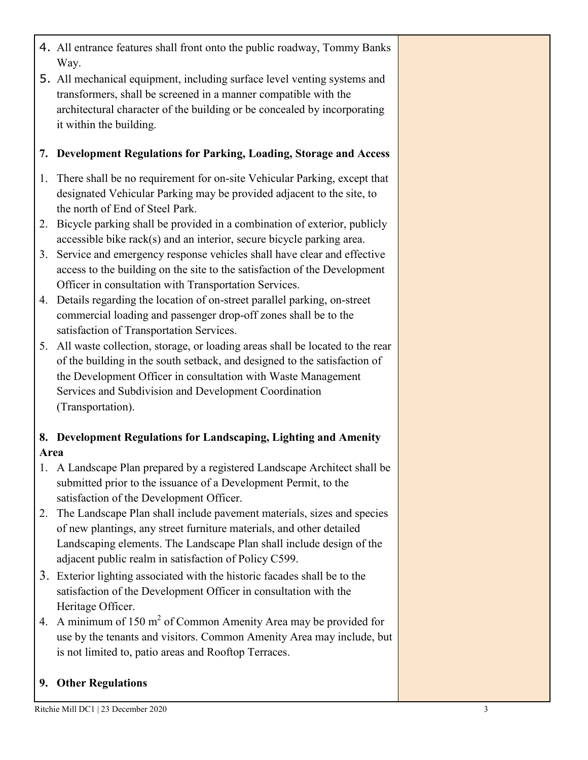- 4. All entrance features shall front onto the public roadway, Tommy Banks Way.
- 5. All mechanical equipment, including surface level venting systems and transformers, shall be screened in a manner compatible with the architectural character of the building or be concealed by incorporating it within the building.

### **7. Development Regulations for Parking, Loading, Storage and Access**

- 1. There shall be no requirement for on-site Vehicular Parking, except that designated Vehicular Parking may be provided adjacent to the site, to the north of End of Steel Park.
- 2. Bicycle parking shall be provided in a combination of exterior, publicly accessible bike rack(s) and an interior, secure bicycle parking area.
- 3. Service and emergency response vehicles shall have clear and effective access to the building on the site to the satisfaction of the Development Officer in consultation with Transportation Services.
- 4. Details regarding the location of on-street parallel parking, on-street commercial loading and passenger drop-off zones shall be to the satisfaction of Transportation Services.
- 5. All waste collection, storage, or loading areas shall be located to the rear of the building in the south setback, and designed to the satisfaction of the Development Officer in consultation with Waste Management Services and Subdivision and Development Coordination (Transportation).

## **8. Development Regulations for Landscaping, Lighting and Amenity Area**

- 1. A Landscape Plan prepared by a registered Landscape Architect shall be submitted prior to the issuance of a Development Permit, to the satisfaction of the Development Officer.
- 2. The Landscape Plan shall include pavement materials, sizes and species of new plantings, any street furniture materials, and other detailed Landscaping elements. The Landscape Plan shall include design of the adjacent public realm in satisfaction of Policy C599.
- 3. Exterior lighting associated with the historic facades shall be to the satisfaction of the Development Officer in consultation with the Heritage Officer.
- 4. A minimum of  $150 \text{ m}^2$  of Common Amenity Area may be provided for use by the tenants and visitors. Common Amenity Area may include, but is not limited to, patio areas and Rooftop Terraces.

### **9. Other Regulations**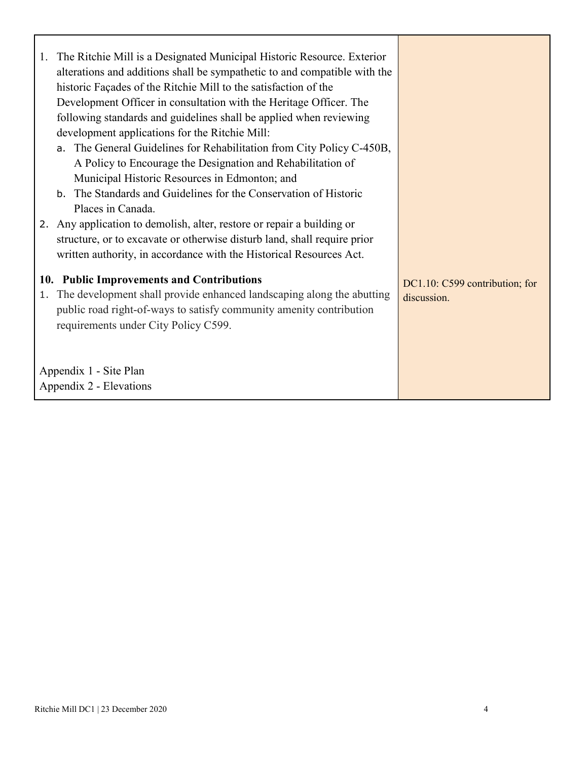| The Ritchie Mill is a Designated Municipal Historic Resource. Exterior<br>1.<br>alterations and additions shall be sympathetic to and compatible with the<br>historic Façades of the Ritchie Mill to the satisfaction of the<br>Development Officer in consultation with the Heritage Officer. The<br>following standards and guidelines shall be applied when reviewing<br>development applications for the Ritchie Mill:<br>a. The General Guidelines for Rehabilitation from City Policy C-450B,<br>A Policy to Encourage the Designation and Rehabilitation of<br>Municipal Historic Resources in Edmonton; and<br>b. The Standards and Guidelines for the Conservation of Historic<br>Places in Canada.<br>2. Any application to demolish, alter, restore or repair a building or<br>structure, or to excavate or otherwise disturb land, shall require prior<br>written authority, in accordance with the Historical Resources Act. |                                               |
|-------------------------------------------------------------------------------------------------------------------------------------------------------------------------------------------------------------------------------------------------------------------------------------------------------------------------------------------------------------------------------------------------------------------------------------------------------------------------------------------------------------------------------------------------------------------------------------------------------------------------------------------------------------------------------------------------------------------------------------------------------------------------------------------------------------------------------------------------------------------------------------------------------------------------------------------|-----------------------------------------------|
| 10. Public Improvements and Contributions<br>The development shall provide enhanced landscaping along the abutting<br>1.<br>public road right-of-ways to satisfy community amenity contribution<br>requirements under City Policy C599.<br>Appendix 1 - Site Plan<br>Appendix 2 - Elevations                                                                                                                                                                                                                                                                                                                                                                                                                                                                                                                                                                                                                                              | DC1.10: C599 contribution; for<br>discussion. |

ľ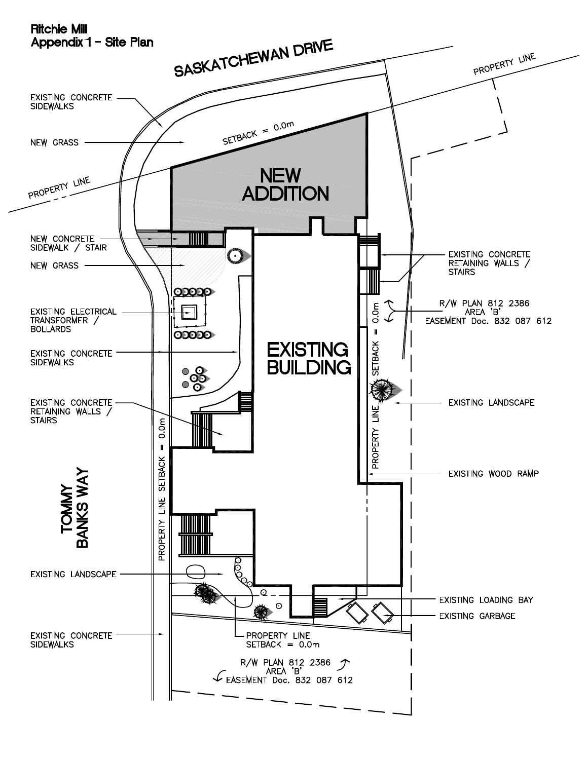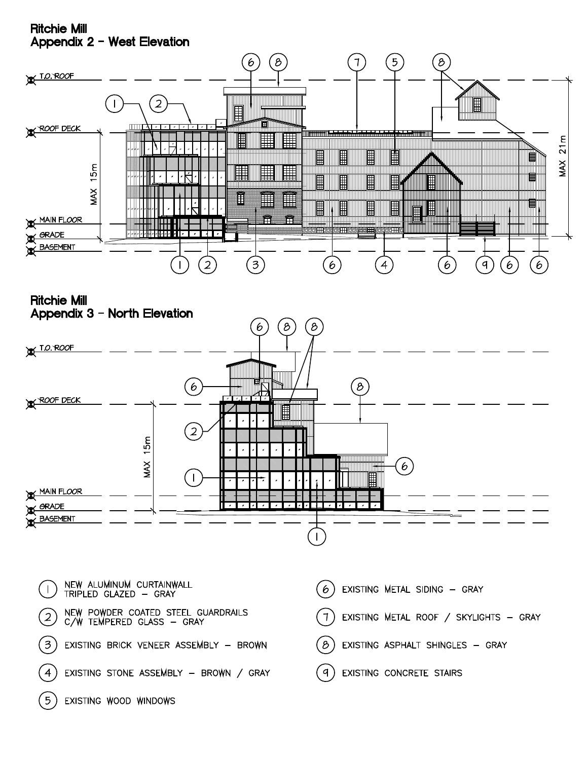#### **Ritchie Mill** Appendix 2 - West Elevation



**Ritchie Mill** Appendix 3 - North Elevation